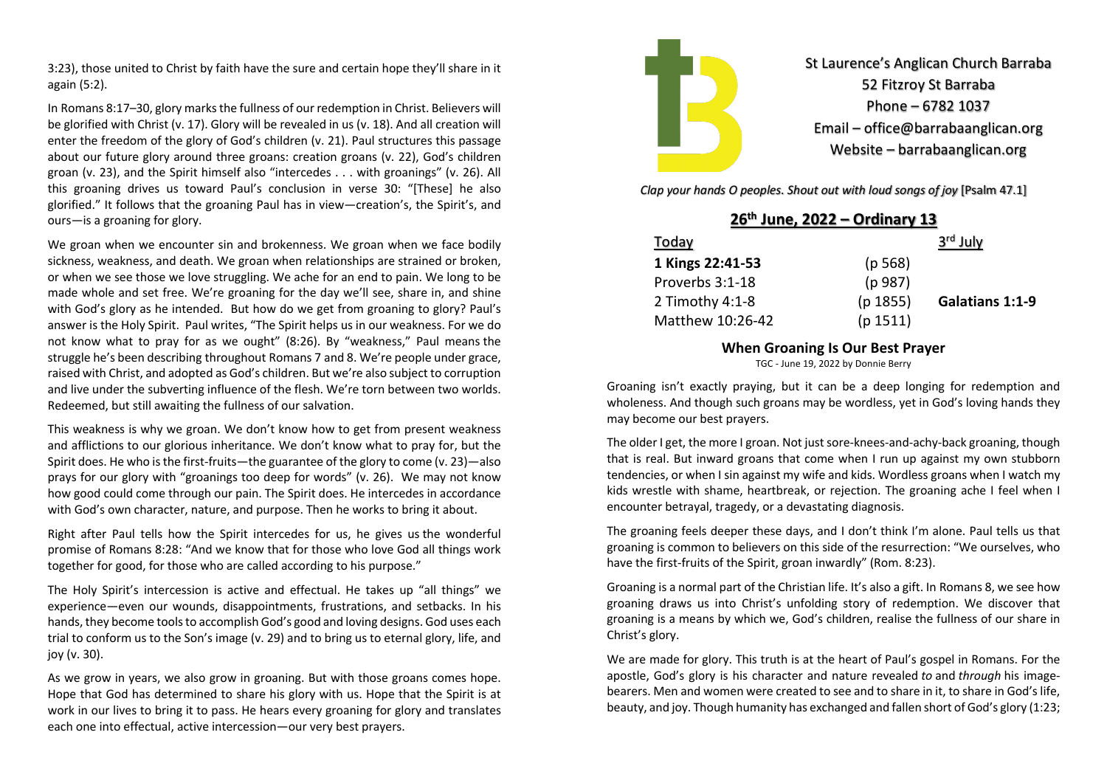3:23), those united to Christ by faith have the sure and certain hope they'll share in it again (5:2).

In Romans 8:17–30, glory marks the fullness of our redemption in Christ. Believers will be glorified with Christ (v. 17). Glory will be revealed in us (v. 18). And all creation will enter the freedom of the glory of God's children (v. 21). Paul structures this passage about our future glory around three groans: creation groans (v. 22), God's children groan (v. 23), and the Spirit himself also "intercedes . . . with groanings" (v. 26). All this groaning drives us toward Paul's conclusion in verse 30: "[These] he also glorified." It follows that the groaning Paul has in view—creation's, the Spirit's, and ours—is a groaning for glory.

We groan when we encounter sin and brokenness. We groan when we face bodily sickness, weakness, and death. We groan when relationships are strained or broken, or when we see those we love struggling. We ache for an end to pain. We long to be made whole and set free. We're groaning for the day we'll see, share in, and shine with God's glory as he intended. But how do we get from groaning to glory? Paul's answer is the Holy Spirit. Paul writes, "The Spirit helps us in our weakness. For we do not know what to pray for as we ought" (8:26). By "weakness," Paul means the struggle he's been describing throughout Romans 7 and 8. We're people under grace, raised with Christ, and adopted as God's children. But we're also subject to corruption and live under the subverting influence of the flesh. We're torn between two worlds. Redeemed, but still awaiting the fullness of our salvation.

This weakness is why we groan. We don't know how to get from present weakness and afflictions to our glorious inheritance. We don't know what to pray for, but the Spirit does. He who is the first-fruits—the guarantee of the glory to come (v. 23)—also prays for our glory with "groanings too deep for words" (v. 26). We may not know how good could come through our pain. The Spirit does. He intercedes in accordance with God's own character, nature, and purpose. Then he works to bring it about.

Right after Paul tells how the Spirit intercedes for us, he gives us the wonderful promise of Romans 8:28: "And we know that for those who love God all things work together for good, for those who are called according to his purpose."

The Holy Spirit's intercession is active and effectual. He takes up "all things" we experience—even our wounds, disappointments, frustrations, and setbacks. In his hands, they become tools to accomplish God's good and loving designs. God uses each trial to conform us to the Son's image (v. 29) and to bring us to eternal glory, life, and joy (v. 30).

As we grow in years, we also grow in groaning. But with those groans comes hope. Hope that God has determined to share his glory with us. Hope that the Spirit is at work in our lives to bring it to pass. He hears every groaning for glory and translates each one into effectual, active intercession—our very best prayers.



St Laurence's Anglican Church Barraba 52 Fitzroy St Barraba Phone – 6782 1037 Email – office@barrabaanglican.org Website – barrabaanglican.org

*Clap your hands O peoples. Shout out with loud songs of joy* [Psalm 47.1]

**26th June, 2022 – Ordinary 13**

| Today            |          | 3 <sup>rd</sup> July |
|------------------|----------|----------------------|
| 1 Kings 22:41-53 | (p 568)  |                      |
| Proverbs 3:1-18  | (p 987)  |                      |
| 2 Timothy 4:1-8  | (p 1855) | Galatians 1:1-9      |
| Matthew 10:26-42 | (p 1511) |                      |
|                  |          |                      |

#### **When Groaning Is Our Best Prayer**

TGC - June 19, 2022 by Donnie Berry

Groaning isn't exactly praying, but it can be a deep longing for redemption and wholeness. And though such groans may be wordless, yet in God's loving hands they may become our best prayers.

The older I get, the more I groan. Not just sore-knees-and-achy-back groaning, though that is real. But inward groans that come when I run up against my own stubborn tendencies, or when I sin against my wife and kids. Wordless groans when I watch my kids wrestle with shame, heartbreak, or rejection. The groaning ache I feel when I encounter betrayal, tragedy, or a devastating diagnosis.

The groaning feels deeper these days, and I don't think I'm alone. Paul tells us that groaning is common to believers on this side of the resurrection: "We ourselves, who have the first-fruits of the Spirit, groan inwardly" (Rom. 8:23).

Groaning is a normal part of the Christian life. It's also a gift. In Romans 8, we see how groaning draws us into Christ's unfolding story of redemption. We discover that groaning is a means by which we, God's children, realise the fullness of our share in Christ's glory.

We are made for glory. This truth is at the heart of Paul's gospel in Romans. For the apostle, God's glory is his character and nature revealed *to* and *through* his imagebearers. Men and women were created to see and to share in it, to share in God's life, beauty, and joy. Though humanity has exchanged and fallen short of God's glory (1:23;